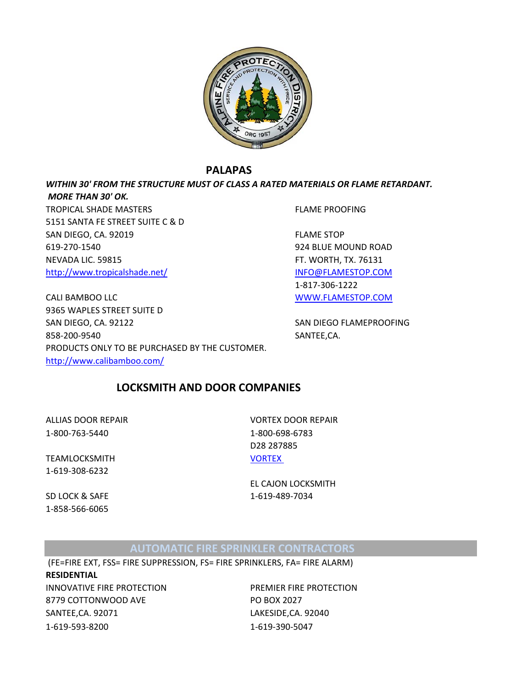

## **PALAPAS**

*WITHIN 30' FROM THE STRUCTURE MUST OF CLASS A RATED MATERIALS OR FLAME RETARDANT. MORE THAN 30' OK.*

TROPICAL SHADE MASTERS FLAME PROOFING 5151 SANTA FE STREET SUITE C & D SAN DIEGO, CA. 92019 FLAME STOP 619-270-1540 924 BLUE MOUND ROAD NEVADA LIC. 59815 FT. WORTH, TX. 76131 <http://www.tropicalshade.net/> [INFO@FLAMESTOP.COM](mailto:INFO@FLAMESTOP.COM)

1-817-306-1222 CALI BAMBOO LLC [WWW.FLAMESTOP.COM](http://www.flamestop.com/)

9365 WAPLES STREET SUITE D SAN DIEGO, CA. 92122 SAN DIEGO FLAMEPROOFING 858-200-9540 SANTEE,CA. PRODUCTS ONLY TO BE PURCHASED BY THE CUSTOMER. <http://www.calibamboo.com/>

# **LOCKSMITH AND DOOR COMPANIES**

1-800-763-5440 1-800-698-6783

TEAMLOCKSMITH [VORTEX](http://www.vortexdoors.com/service-centers/california?gclid=CN66tIr0rLcCFep7QgodahAAzw)  1-619-308-6232

1-858-566-6065

ALLIAS DOOR REPAIR VORTEX DOOR REPAIR D28 287885

EL CAJON LOCKSMITH SD LOCK & SAFE 1-619-489-7034

# **AUTOMATIC FIRE SPRINKLER CONTRACTORS**

 (FE=FIRE EXT, FSS= FIRE SUPPRESSION, FS= FIRE SPRINKLERS, FA= FIRE ALARM) **RESIDENTIAL** INNOVATIVE FIRE PROTECTION PREMIER FIRE PROTECTION 8779 COTTONWOOD AVE PO BOX 2027 SANTEE,CA. 92071 LAKESIDE,CA. 92040

1-619-593-8200 1-619-390-5047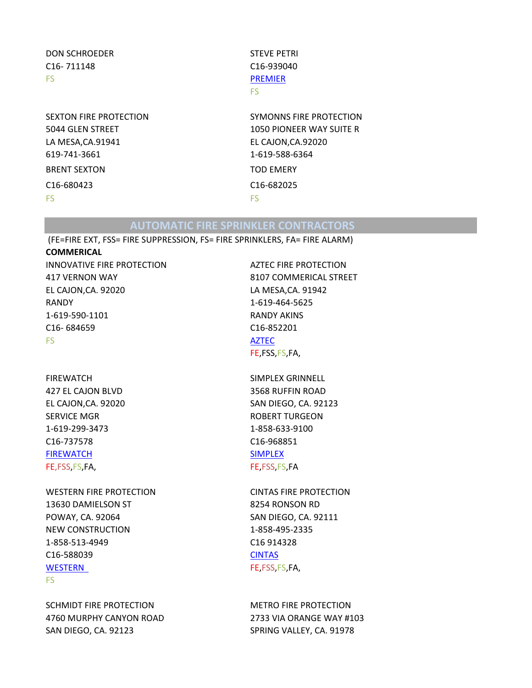## DON SCHROEDER STEVE PETRI C16- 711148 C16-939040 FS [PREMIER](http://www.premierfireprotectioninc.com/)

LA MESA,CA.91941 EL CAJON,CA.92020 619-741-3661 1-619-588-6364 BRENT SEXTON TOD EMERY C16-680423 C16-682025 FS FS

# FS

SEXTON FIRE PROTECTION SYMONNS FIRE PROTECTION 5044 GLEN STREET 1050 PIONEER WAY SUITE R

# **AUTOMATIC FIRE SPRINKLER CONTRACTORS**

 (FE=FIRE EXT, FSS= FIRE SUPPRESSION, FS= FIRE SPRINKLERS, FA= FIRE ALARM) **COMMERICAL**

INNOVATIVE FIRE PROTECTION AZTEC FIRE PROTECTION 417 VERNON WAY 8107 COMMERICAL STREET EL CAJON,CA. 92020 LA MESA,CA. 91942 RANDY 1-619-464-5625 1-619-590-1101 RANDY AKINS C16- 684659 C16-852201 FS AND A RESIDENCE AND A RESIDENCE AND A RESIDENCE AND A RESIDENCE AND A RESIDENCE AND A RESIDENCE AND A RESIDENCE AND A RESIDENCE AND A RESIDENCE AND A RESIDENCE AND A RESIDENCE AND A RESIDENCE AND A RESIDENCE AND A RESID

FIREWATCH SIMPLEX GRINNELL 427 EL CAJON BLVD 3568 RUFFIN ROAD SERVICE MGR
SERVICE MGR
SERVICE MGR
SERVICE MGR
SERVICE MGR
SERVICE MGR
SERVICE MGR
SERVICE MGR
SERVICE MGR
SERVICE MGR
SERVICE MGR
SERVICE MGR
SERVICE MGR
SERVICE MGR
SERVICE MGR
SERVICE MGR
SERVICE MGR
SERVICE MGR
SERVIC 1-619-299-3473 1-858-633-9100 C16-737578 C16-968851 [FIREWATCH](http://www.firewatchfireequip.com/) [SIMPLEX](http://www.simplexgrinnell.com/) FE,FSS,FS,FA, FE,FSS,FS,FA

WESTERN FIRE PROTECTION CINTAS FIRE PROTECTION 13630 DAMIELSON ST
8254 RONSON RD POWAY, CA. 92064 SAN DIEGO, CA. 92111 NEW CONSTRUCTION 1-858-495-2335 1-858-513-4949 C16 914328 C16-588039 [CINTAS](http://www.cintas.com/Fire-Protection-Services) [WESTERN](http://sandiegofireprotection.com/) FE,FSS,FS,FA,

#### FS

SCHMIDT FIRE PROTECTION METRO FIRE PROTECTION 4760 MURPHY CANYON ROAD 2733 VIA ORANGE WAY #103 SAN DIEGO, CA. 92123 SPRING VALLEY, CA. 91978

FE,FSS,FS,FA,

EL CAJON,CA. 92020 SAN DIEGO, CA. 92123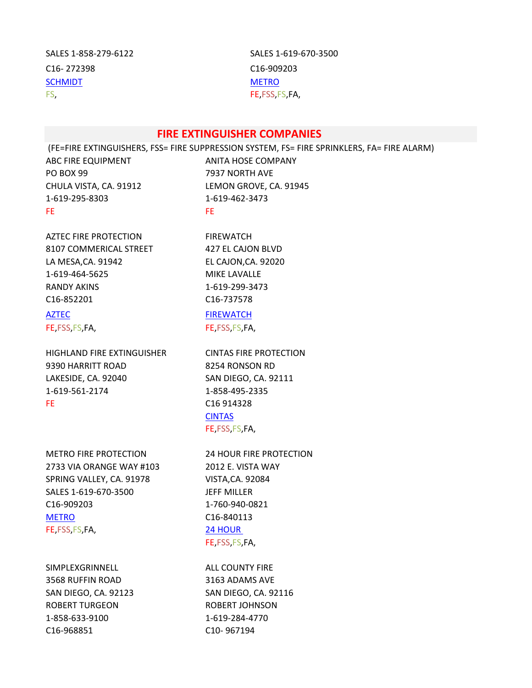| SALES 1-858-279-6122    | SALES <sub>1</sub> |
|-------------------------|--------------------|
| C <sub>16</sub> -272398 | $C16-90$           |
| <b>SCHMIDT</b>          | <b>METRO</b>       |
| FS,                     | FE FSS I           |

SALES 1-619-670-3500 C<sub>16</sub>-909203 FE, FSS, FS, FA,

### **FIRE EXTINGUISHER COMPANIES**

 (FE=FIRE EXTINGUISHERS, FSS= FIRE SUPPRESSION SYSTEM, FS= FIRE SPRINKLERS, FA= FIRE ALARM) ABC FIRE EQUIPMENT ANITA HOSE COMPANY PO BOX 99 7937 NORTH AVE CHULA VISTA, CA. 91912 LEMON GROVE, CA. 91945 1-619-295-8303 1-619-462-3473 FE FE ALL THE STATE OF THE STATE OF THE STATE OF THE STATE OF THE STATE OF THE STATE OF THE STATE OF THE STATE OF THE STATE OF THE STATE OF THE STATE OF THE STATE OF THE STATE OF THE STATE OF THE STATE OF THE STATE OF THE

AZTEC FIRE PROTECTION FIREWATCH 8107 COMMERICAL STREET 427 EL CAJON BLVD LA MESA,CA. 91942 EL CAJON,CA. 92020 1-619-464-5625 MIKE LAVALLE RANDY AKINS 1-619-299-3473 C16-852201 C16-737578

HIGHLAND FIRE EXTINGUISHER CINTAS FIRE PROTECTION 9390 HARRITT ROAD 8254 RONSON RD LAKESIDE, CA. 92040 SAN DIEGO, CA. 92111 1-619-561-2174 1-858-495-2335 FE C16 914328

METRO FIRE PROTECTION 24 HOUR FIRE PROTECTION 2733 VIA ORANGE WAY #103 2012 E. VISTA WAY SPRING VALLEY, CA. 91978 VISTA,CA. 92084 SALES 1-619-670-3500 JEFF MILLER C16-909203 1-760-940-0821 [METRO](http://www.metrofire-safety.com/) C16-840113 FE,FSS,FS,FA, [24 HOUR](http://www.24fire.com/) 

SIMPLEXGRINNELL ALL COUNTY FIRE 3568 RUFFIN ROAD 3163 ADAMS AVE SAN DIEGO, CA. 92123 SAN DIEGO, CA. 92116 ROBERT TURGEON ROBERT JOHNSON 1-858-633-9100 1-619-284-4770 C16-968851 C10- 967194

[AZTEC](http://www.aztecfireandsafety.com/) [FIREWATCH](http://www.firewatchfireequip.com/) FE,FSS,FS,FA, FE,FSS,FS,FA,

> [CINTAS](http://www.cintas.com/Fire-Protection-Services) FE,FSS,FS,FA,

FE,FSS,FS,FA,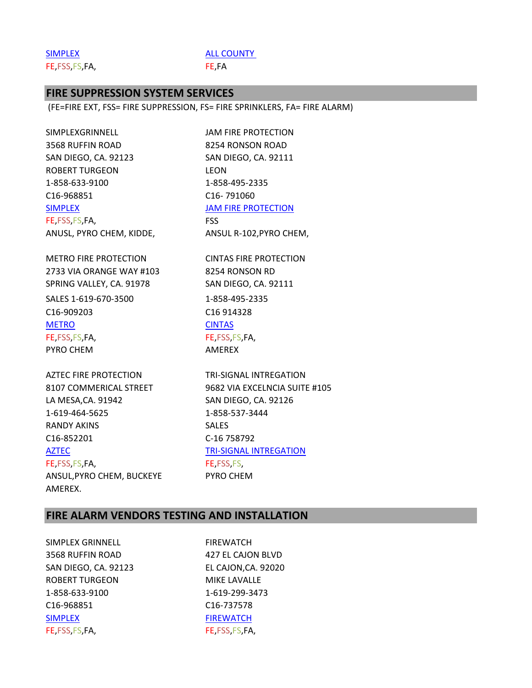[SIMPLEX](http://www.simplexgrinnell.com/) ALL COUNTY FE,FSS,FS,FA, FE,FA

## **FIRE SUPPRESSION SYSTEM SERVICES**

(FE=FIRE EXT, FSS= FIRE SUPPRESSION, FS= FIRE SPRINKLERS, FA= FIRE ALARM)

SIMPLEXGRINNELL JAM FIRE PROTECTION 3568 RUFFIN ROAD 8254 RONSON ROAD SAN DIEGO, CA. 92123 SAN DIEGO, CA. 92111 ROBERT TURGEON LEON 1-858-633-9100 1-858-495-2335 C16-968851 C16- 791060 [SIMPLEX](http://www.simplexgrinnell.com/) JAM FIRE PROTECTION FE,FSS,FS,FA, FSS ANUSL, PYRO CHEM, KIDDE, ANSUL R-102, PYRO CHEM,

METRO FIRE PROTECTION CINTAS FIRE PROTECTION 2733 VIA ORANGE WAY #103 8254 RONSON RD SPRING VALLEY, CA. 91978 SAN DIEGO, CA. 92111 SALES 1-619-670-3500 1-858-495-2335 C16-909203 C16 914328 [METRO](http://www.metrofire-safety.com/) [CINTAS](http://www.cintas.com/Fire-Protection-Services) FE, FSS, FS, FA, FE, FSS, FS, FA, PYRO CHEM AMEREX

AZTEC FIRE PROTECTION TRI-SIGNAL INTREGATION LA MESA,CA. 91942 SAN DIEGO, CA. 92126 1-619-464-5625 1-858-537-3444 RANDY AKINS SALES C16-852201 C-16 758792 [AZTEC](http://www.aztecfireandsafety.com/) **TRI-SIGNAL INTREGATION** FE,FSS,FS,FA, FE,FSS,FS, ANSUL, PYRO CHEM, BUCKEYE PYRO CHEM

8107 COMMERICAL STREET 9682 VIA EXCELNCIA SUITE #105

# **FIRE ALARM VENDORS TESTING AND INSTALLATION**

SIMPLEX GRINNELL FIREWATCH 3568 RUFFIN ROAD 427 EL CAJON BLVD SAN DIEGO, CA. 92123 EL CAJON,CA. 92020 ROBERT TURGEON MIKE LAVALLE 1-858-633-9100 1-619-299-3473 C16-968851 C16-737578 [SIMPLEX](http://www.simplexgrinnell.com/) [FIREWATCH](http://www.firewatchfireequip.com/) FE,FSS,FS,FA, FE,FSS,FS,FA,

AMEREX.